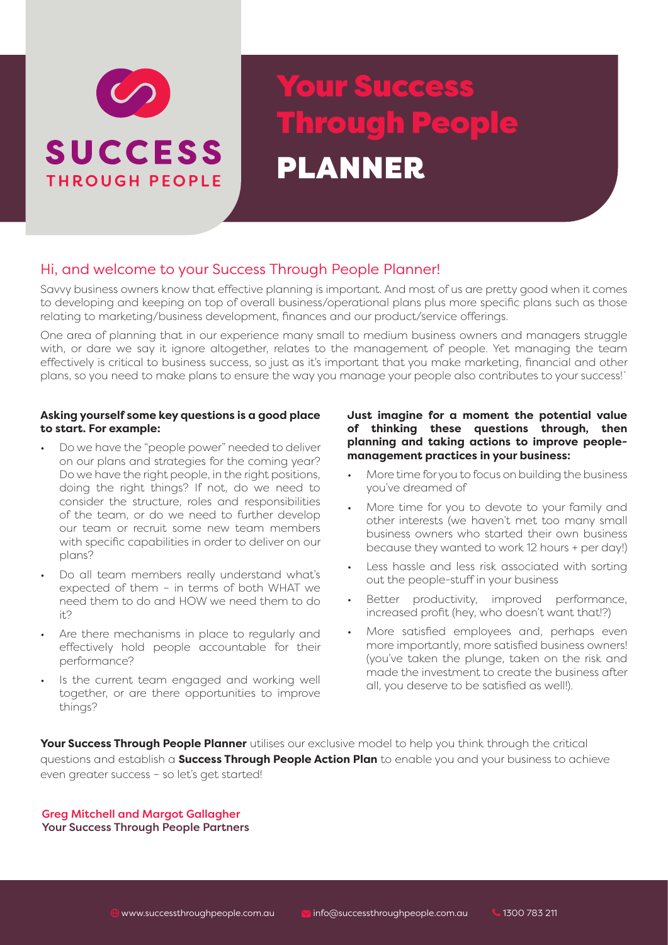

# Your Success Through People PLANNER

### Hi, and welcome to your Success Through People Planner!

Savvy business owners know that effective planning is important. And most of us are pretty good when it comes to developing and keeping on top of overall business/operational plans plus more specific plans such as those relating to marketing/business development, finances and our product/service offerings.

One area of planning that in our experience many small to medium business owners and managers struggle with, or dare we say it ignore altogether, relates to the management of people. Yet managing the team effectively is critical to business success, so just as it's important that you make marketing, financial and other plans, so you need to make plans to ensure the way you manage your people also contributes to your success!`

#### **Asking yourself some key questions is a good place to start. For example:**

- Do we have the "people power" needed to deliver on our plans and strategies for the coming year? Do we have the right people, in the right positions, doing the right things? If not, do we need to consider the structure, roles and responsibilities of the team, or do we need to further develop our team or recruit some new team members with specific capabilities in order to deliver on our plans?
- Do all team members really understand what's expected of them – in terms of both WHAT we need them to do and HOW we need them to do it?
- Are there mechanisms in place to regularly and effectively hold people accountable for their performance?
- Is the current team engaged and working well together, or are there opportunities to improve things?

### **Just imagine for a moment the potential value of thinking these questions through, then planning and taking actions to improve peoplemanagement practices in your business:**

- More time for you to focus on building the business you've dreamed of
- More time for you to devote to your family and other interests (we haven't met too many small business owners who started their own business because they wanted to work 12 hours + per day!)
- Less hassle and less risk associated with sorting out the people-stuff in your business
- Better productivity, improved performance, increased profit (hey, who doesn't want that!?)
- More satisfied employees and, perhaps even more importantly, more satisfied business owners! (you've taken the plunge, taken on the risk and made the investment to create the business after all, you deserve to be satisfied as well!).

**Your Success Through People Planner** utilises our exclusive model to help you think through the critical questions and establish a **Success Through People Action Plan** to enable you and your business to achieve even greater success – so let's get started!

Greg Mitchell and Margot Gallagher Your Success Through People Partners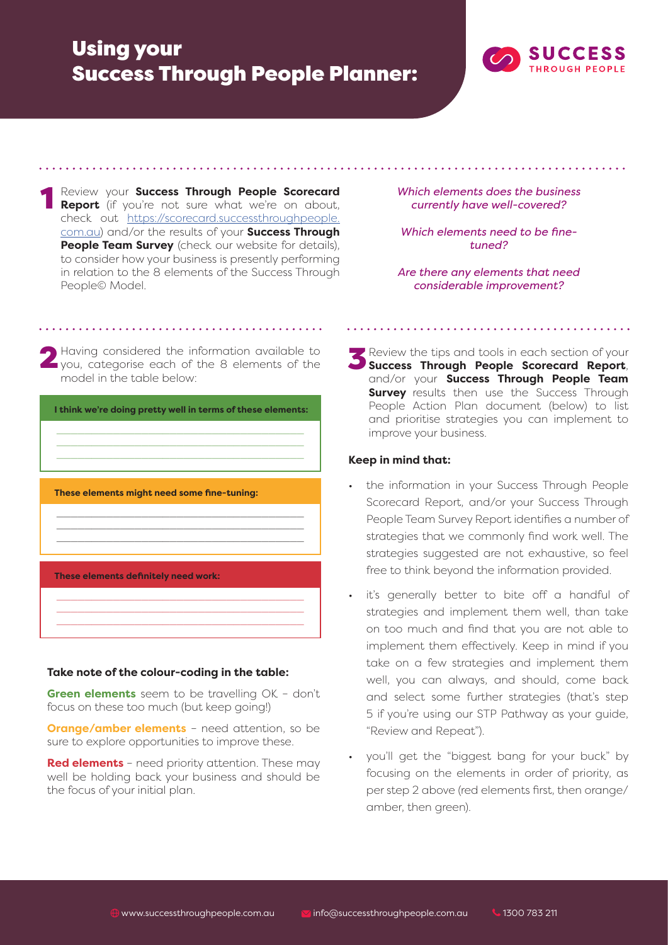## Using your Success Through People Planner:



**1 Review your Success Through People Scorecard Report** (if you're not sure what we're on about, check out https://scorecard.successthroughpeople. com.au) and/or the results of your **Success Through People Team Survey** (check our website for details), to consider how your business is presently performing in relation to the 8 elements of the Success Through People© Model.

*Which elements does the business currently have well-covered?*

*Which elements need to be finetuned?*

*Are there any elements that need considerable improvement?* 

2 Having considered the information available to you, categorise each of the 8 elements of the model in the table below:



### **Take note of the colour-coding in the table:**

**Green elements** seem to be travelling OK - don't focus on these too much (but keep going!)

**Orange/amber elements** – need attention, so be sure to explore opportunities to improve these.

**Red elements** – need priority attention. These may well be holding back your business and should be the focus of your initial plan.

3Review the tips and tools in each section of your **Success Through People Scorecard Report**, and/or your **Success Through People Team Survey** results then use the Success Through People Action Plan document (below) to list and prioritise strategies you can implement to improve your business.

### **Keep in mind that:**

- the information in your Success Through People Scorecard Report, and/or your Success Through People Team Survey Report identifies a number of strategies that we commonly find work well. The strategies suggested are not exhaustive, so feel free to think beyond the information provided.
- it's generally better to bite off a handful of strategies and implement them well, than take on too much and find that you are not able to implement them effectively. Keep in mind if you take on a few strategies and implement them well, you can always, and should, come back and select some further strategies (that's step 5 if you're using our STP Pathway as your guide, "Review and Repeat").
- you'll get the "biggest bang for your buck" by focusing on the elements in order of priority, as per step 2 above (red elements first, then orange/ amber, then green).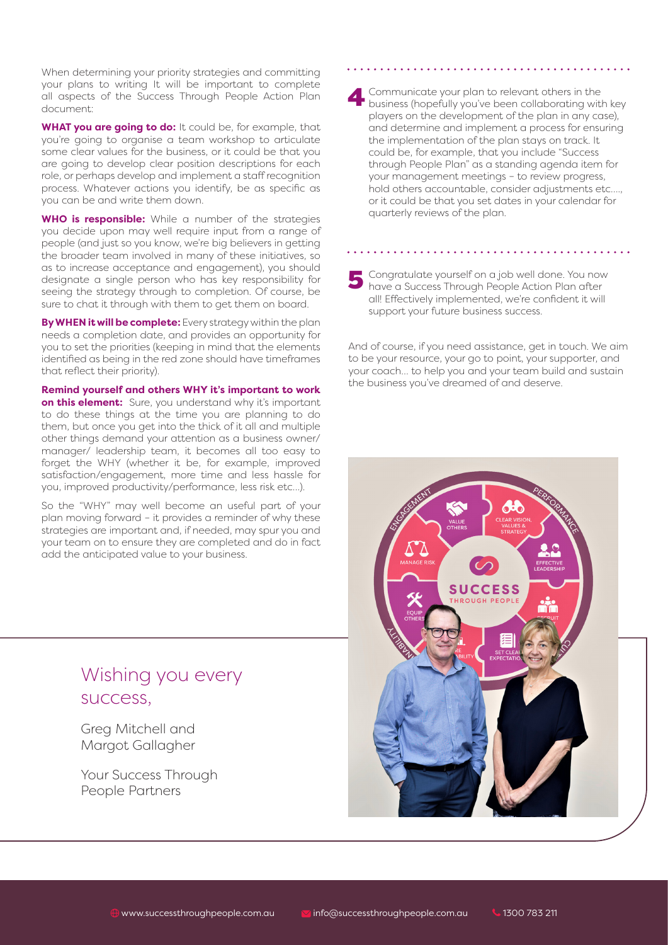When determining your priority strategies and committing your plans to writing It will be important to complete all aspects of the Success Through People Action Plan document:

**WHAT you are going to do:** It could be, for example, that you're going to organise a team workshop to articulate some clear values for the business, or it could be that you are going to develop clear position descriptions for each role, or perhaps develop and implement a staff recognition process. Whatever actions you identify, be as specific as you can be and write them down.

**WHO is responsible:** While a number of the strategies you decide upon may well require input from a range of people (and just so you know, we're big believers in getting the broader team involved in many of these initiatives, so as to increase acceptance and engagement), you should designate a single person who has key responsibility for seeing the strategy through to completion. Of course, be sure to chat it through with them to get them on board.

**By WHEN it will be complete:** Every strategy within the plan needs a completion date, and provides an opportunity for you to set the priorities (keeping in mind that the elements identified as being in the red zone should have timeframes that reflect their priority).

**Remind yourself and others WHY it's important to work on this element:** Sure, you understand why it's important to do these things at the time you are planning to do them, but once you get into the thick of it all and multiple other things demand your attention as a business owner/ manager/ leadership team, it becomes all too easy to forget the WHY (whether it be, for example, improved satisfaction/engagement, more time and less hassle for you, improved productivity/performance, less risk etc…).

So the "WHY" may well become an useful part of your plan moving forward – it provides a reminder of why these strategies are important and, if needed, may spur you and your team on to ensure they are completed and do in fact add the anticipated value to your business.

### Wishing you every success,

Greg Mitchell and Margot Gallagher

Your Success Through People Partners

4Communicate your plan to relevant others in the business (hopefully you've been collaborating with key players on the development of the plan in any case), and determine and implement a process for ensuring the implementation of the plan stays on track. It could be, for example, that you include "Success through People Plan" as a standing agenda item for your management meetings – to review progress, hold others accountable, consider adjustments etc…., or it could be that you set dates in your calendar for quarterly reviews of the plan.

#### 5 Congratulate yourself on a job well done. You now have a Success Through People Action Plan after all! Effectively implemented, we're confident it will support your future business success.

And of course, if you need assistance, get in touch. We aim to be your resource, your go to point, your supporter, and your coach… to help you and your team build and sustain the business you've dreamed of and deserve.

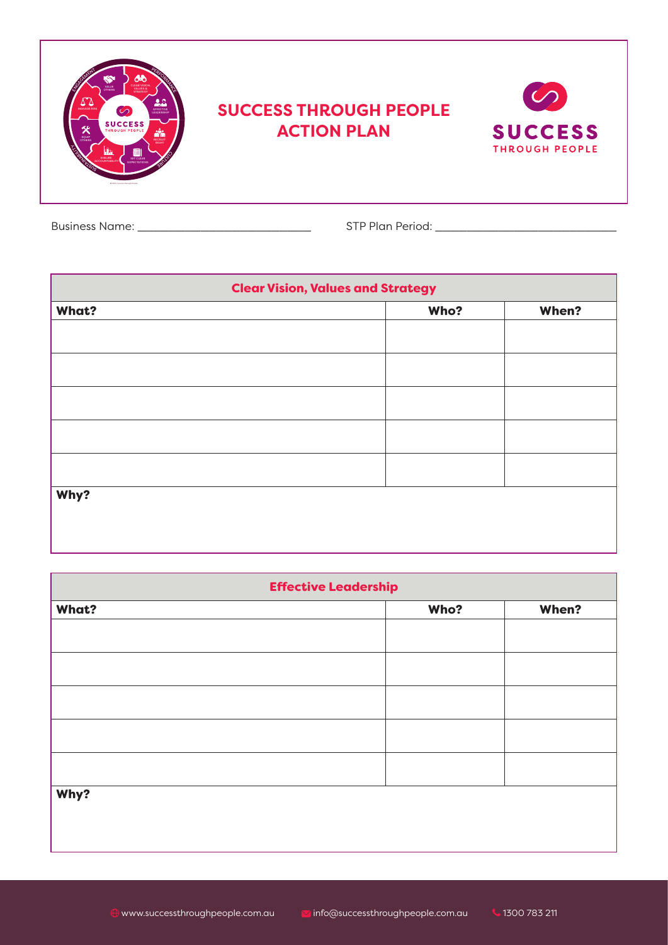| கூ<br>న<br><b>CLEAR VISION</b><br><b>VALUE</b><br>OTHERS<br>VALUES &<br>22<br><b>MANAGE DISK</b><br>$\infty$<br>EFFECTIVE<br>LEADERSHIP<br><b>SUCCESS</b><br>╳<br><b>THROUGH PEOPLE</b><br>ň'n<br>EQUIP<br>OTHERS<br><b>RECRUIT</b><br><b>PIGHT</b><br><b>TABLE</b><br>$\begin{tabular}{c} \hline \quad \quad & \quad \quad & \quad \quad \\ \hline \end{tabular}$<br>ENSURE<br>COUNTABILE<br>EXPECTATION<br>C 2021 Success Deputy People | <b>SUCCESS THROUGH PEOPLE</b><br><b>ACTION PLAN</b> | <b>SUCCESS</b><br><b>THROUGH PEOPLE</b> |
|-------------------------------------------------------------------------------------------------------------------------------------------------------------------------------------------------------------------------------------------------------------------------------------------------------------------------------------------------------------------------------------------------------------------------------------------|-----------------------------------------------------|-----------------------------------------|
|                                                                                                                                                                                                                                                                                                                                                                                                                                           |                                                     |                                         |

Business Name: \_\_\_\_\_\_\_\_\_\_\_\_\_\_\_\_\_\_\_\_\_\_ STP Plan Period: \_\_\_\_\_\_\_\_\_\_\_\_\_\_\_\_\_\_\_\_\_\_\_

| <b>Clear Vision, Values and Strategy</b> |      |       |  |
|------------------------------------------|------|-------|--|
| <b>What?</b>                             | Who? | When? |  |
|                                          |      |       |  |
|                                          |      |       |  |
|                                          |      |       |  |
|                                          |      |       |  |
|                                          |      |       |  |
| Why?                                     |      |       |  |

| <b>Effective Leadership</b> |      |       |  |
|-----------------------------|------|-------|--|
| <b>What?</b>                | Who? | When? |  |
|                             |      |       |  |
|                             |      |       |  |
|                             |      |       |  |
|                             |      |       |  |
|                             |      |       |  |
| Why?                        |      |       |  |
|                             |      |       |  |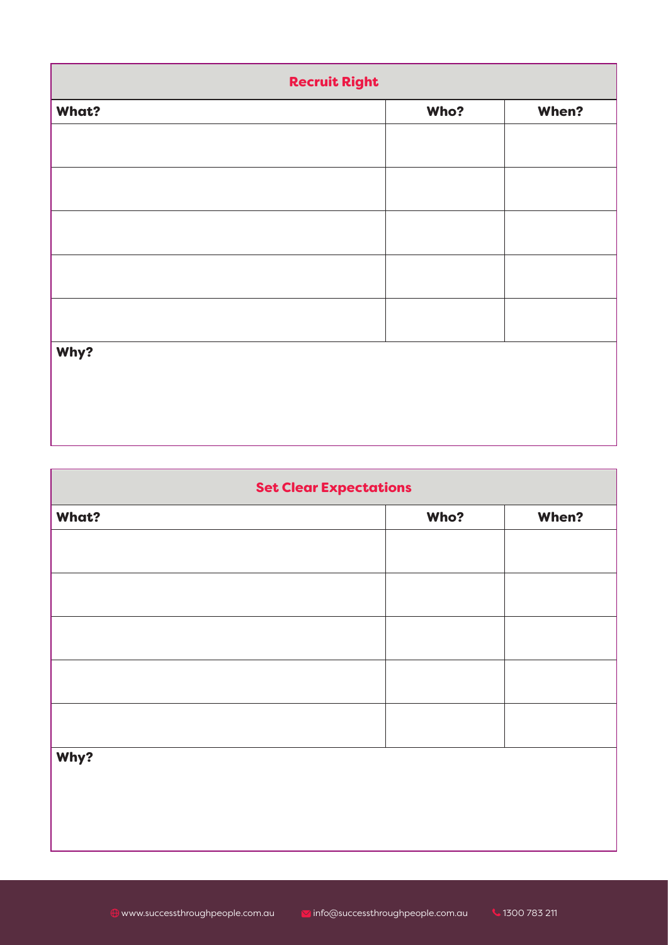| <b>Recruit Right</b> |      |       |  |
|----------------------|------|-------|--|
| What?                | Who? | When? |  |
|                      |      |       |  |
|                      |      |       |  |
|                      |      |       |  |
|                      |      |       |  |
|                      |      |       |  |
|                      |      |       |  |
|                      |      |       |  |
| Why?                 |      |       |  |
|                      |      |       |  |
|                      |      |       |  |
|                      |      |       |  |

1

| <b>Set Clear Expectations</b> |      |       |  |
|-------------------------------|------|-------|--|
| <b>What?</b>                  | Who? | When? |  |
|                               |      |       |  |
|                               |      |       |  |
|                               |      |       |  |
|                               |      |       |  |
|                               |      |       |  |
|                               |      |       |  |
| Why?                          |      |       |  |
|                               |      |       |  |
|                               |      |       |  |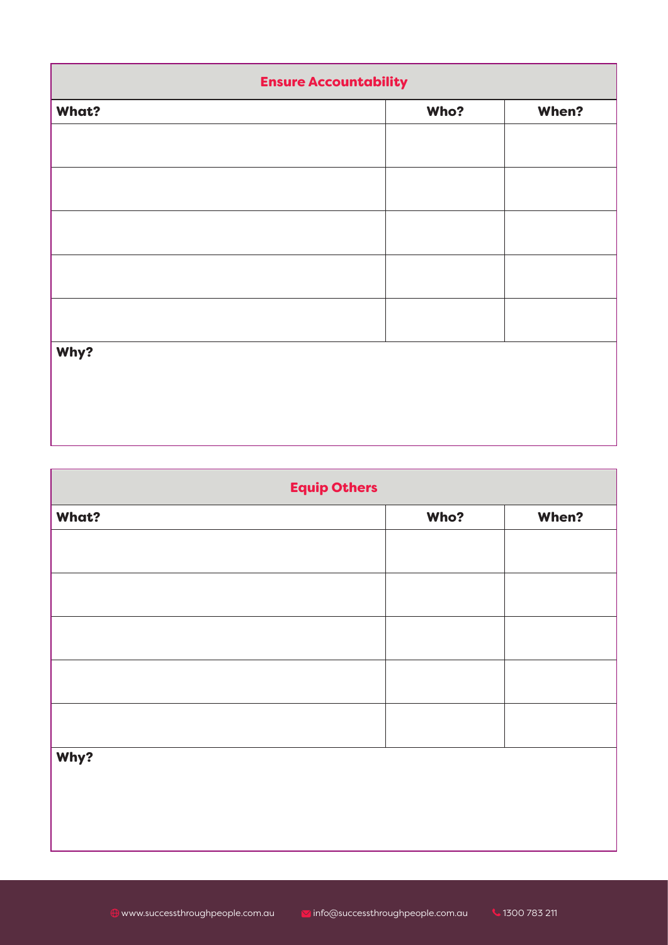| <b>Ensure Accountability</b> |      |       |  |
|------------------------------|------|-------|--|
| What?                        | Who? | When? |  |
|                              |      |       |  |
|                              |      |       |  |
|                              |      |       |  |
|                              |      |       |  |
|                              |      |       |  |
|                              |      |       |  |
|                              |      |       |  |
| Why?                         |      |       |  |
|                              |      |       |  |
|                              |      |       |  |
|                              |      |       |  |

1

| <b>Equip Others</b> |      |       |  |
|---------------------|------|-------|--|
| What?               | Who? | When? |  |
|                     |      |       |  |
|                     |      |       |  |
|                     |      |       |  |
|                     |      |       |  |
|                     |      |       |  |
|                     |      |       |  |
|                     |      |       |  |
| Why?                |      |       |  |
|                     |      |       |  |
|                     |      |       |  |
|                     |      |       |  |